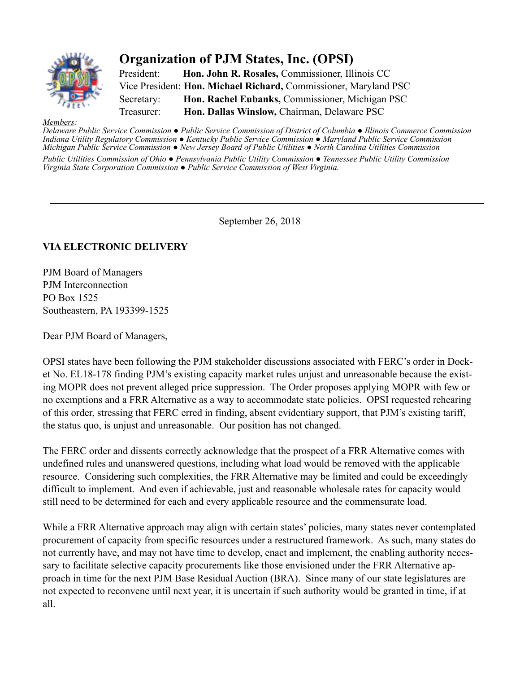

## **Organization of PJM States, Inc. (OPSI)**

President: **Hon. John R. Rosales,** Commissioner, Illinois CC Vice President: **Hon. Michael Richard,** Commissioner, Maryland PSC Secretary: **Hon. Rachel Eubanks,** Commissioner, Michigan PSC Treasurer: **Hon. Dallas Winslow,** Chairman, Delaware PSC

*Members: Delaware Public Service Commission ● Public Service Commission of District of Columbia ● Illinois Commerce Commission Indiana Utility Regulatory Commission ● Kentucky Public Service Commission ● Maryland Public Service Commission Michigan Public Service Commission ● New Jersey Board of Public Utilities ● North Carolina Utilities Commission*

*Public Utilities Commission of Ohio ● Pennsylvania Public Utility Commission ● Tennessee Public Utility Commission Virginia State Corporation Commission ● Public Service Commission of West Virginia.*

September 26, 2018

## **VIA ELECTRONIC DELIVERY**

PJM Board of Managers PJM Interconnection PO Box 1525 Southeastern, PA 193399-1525

Dear PJM Board of Managers,

OPSI states have been following the PJM stakeholder discussions associated with FERC's order in Docket No. EL18-178 finding PJM's existing capacity market rules unjust and unreasonable because the existing MOPR does not prevent alleged price suppression. The Order proposes applying MOPR with few or no exemptions and a FRR Alternative as a way to accommodate state policies. OPSI requested rehearing of this order, stressing that FERC erred in finding, absent evidentiary support, that PJM's existing tariff, the status quo, is unjust and unreasonable. Our position has not changed.

The FERC order and dissents correctly acknowledge that the prospect of a FRR Alternative comes with undefined rules and unanswered questions, including what load would be removed with the applicable resource. Considering such complexities, the FRR Alternative may be limited and could be exceedingly difficult to implement. And even if achievable, just and reasonable wholesale rates for capacity would still need to be determined for each and every applicable resource and the commensurate load.

While a FRR Alternative approach may align with certain states' policies, many states never contemplated procurement of capacity from specific resources under a restructured framework. As such, many states do not currently have, and may not have time to develop, enact and implement, the enabling authority necessary to facilitate selective capacity procurements like those envisioned under the FRR Alternative approach in time for the next PJM Base Residual Auction (BRA). Since many of our state legislatures are not expected to reconvene until next year, it is uncertain if such authority would be granted in time, if at all.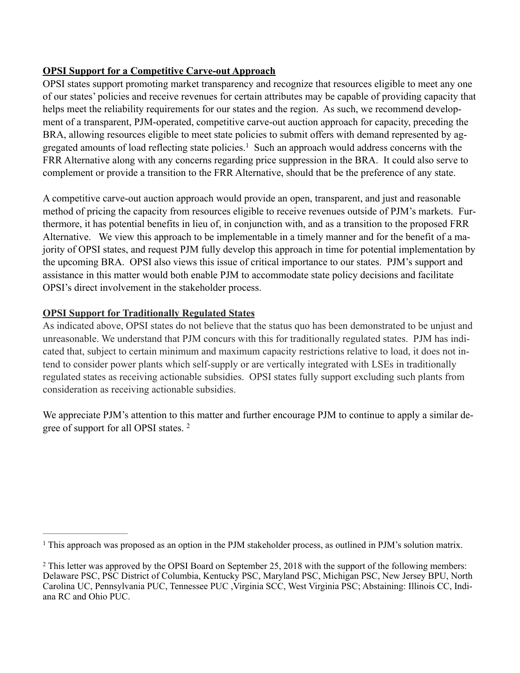## **OPSI Support for a Competitive Carve-out Approach**

OPSI states support promoting market transparency and recognize that resources eligible to meet any one of our states' policies and receive revenues for certain attributes may be capable of providing capacity that helps meet the reliability requirements for our states and the region. As such, we recommend development of a transparent, PJM-operated, competitive carve-out auction approach for capacity, preceding the BRA, allowing resources eligible to meet state policies to submit offers with demand represented by aggregated amounts of load reflecting state policies.<sup>1</sup> Such an approach would address concerns with the FRR Alternative along with any concerns regarding price suppression in the BRA. It could also serve to complement or provide a transition to the FRR Alternative, should that be the preference of any state.

A competitive carve-out auction approach would provide an open, transparent, and just and reasonable method of pricing the capacity from resources eligible to receive revenues outside of PJM's markets. Furthermore, it has potential benefits in lieu of, in conjunction with, and as a transition to the proposed FRR Alternative. We view this approach to be implementable in a timely manner and for the benefit of a majority of OPSI states, and request PJM fully develop this approach in time for potential implementation by the upcoming BRA. OPSI also views this issue of critical importance to our states. PJM's support and assistance in this matter would both enable PJM to accommodate state policy decisions and facilitate OPSI's direct involvement in the stakeholder process.

## **OPSI Support for Traditionally Regulated States**

As indicated above, OPSI states do not believe that the status quo has been demonstrated to be unjust and unreasonable. We understand that PJM concurs with this for traditionally regulated states. PJM has indicated that, subject to certain minimum and maximum capacity restrictions relative to load, it does not intend to consider power plants which self-supply or are vertically integrated with LSEs in traditionally regulated states as receiving actionable subsidies. OPSI states fully support excluding such plants from consideration as receiving actionable subsidies.

We appreciate PJM's attention to this matter and further encourage PJM to continue to apply a similar degree of support for all OPSI states. 2

<sup>&</sup>lt;sup>1</sup> This approach was proposed as an option in the PJM stakeholder process, as outlined in PJM's solution matrix.

<sup>&</sup>lt;sup>2</sup> This letter was approved by the OPSI Board on September 25, 2018 with the support of the following members: Delaware PSC, PSC District of Columbia, Kentucky PSC, Maryland PSC, Michigan PSC, New Jersey BPU, North Carolina UC, Pennsylvania PUC, Tennessee PUC ,Virginia SCC, West Virginia PSC; Abstaining: Illinois CC, Indiana RC and Ohio PUC.